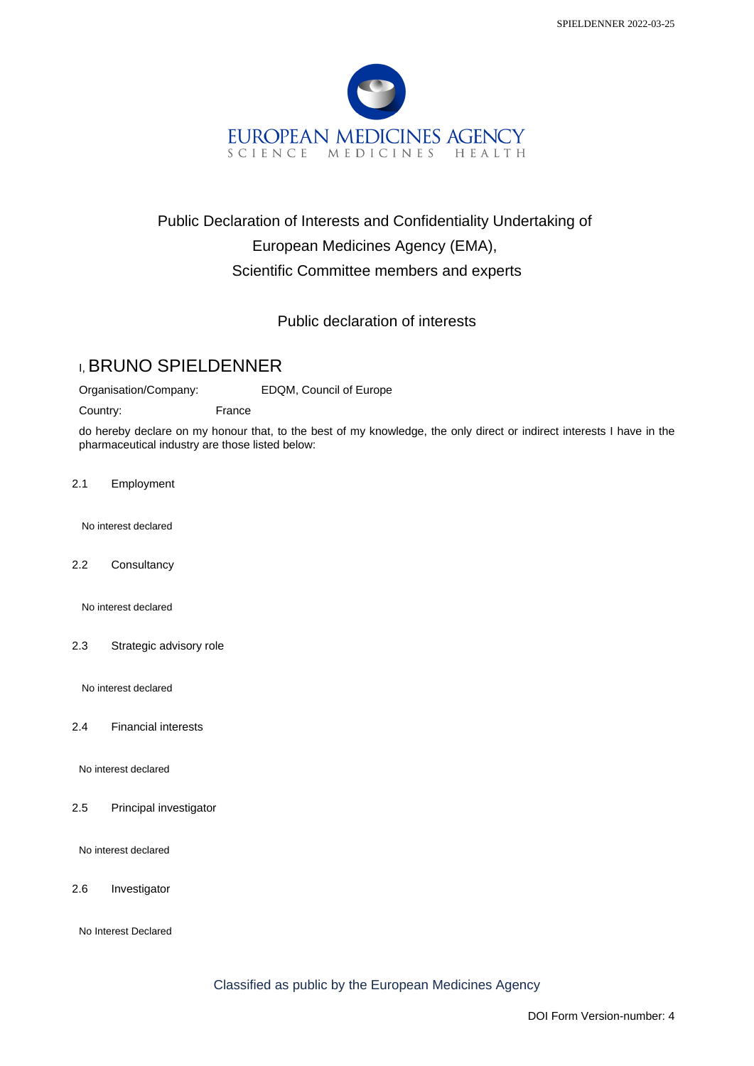

## Public Declaration of Interests and Confidentiality Undertaking of European Medicines Agency (EMA), Scientific Committee members and experts

## Public declaration of interests

## I, BRUNO SPIELDENNER

Organisation/Company: EDQM, Council of Europe

Country: France

do hereby declare on my honour that, to the best of my knowledge, the only direct or indirect interests I have in the pharmaceutical industry are those listed below:

2.1 Employment

No interest declared

2.2 Consultancy

No interest declared

2.3 Strategic advisory role

No interest declared

2.4 Financial interests

No interest declared

2.5 Principal investigator

No interest declared

2.6 Investigator

No Interest Declared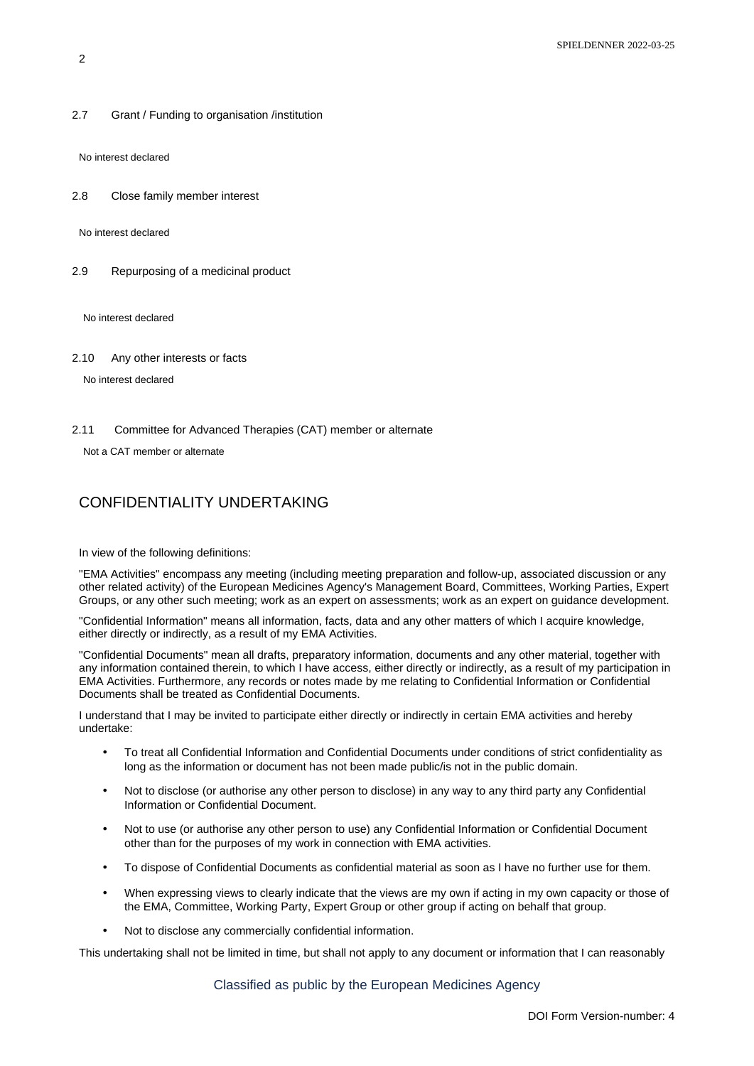2.7 Grant / Funding to organisation /institution

No interest declared

2.8 Close family member interest

No interest declared

2.9 Repurposing of a medicinal product

No interest declared

2.10 Any other interests or facts

No interest declared

2.11 Committee for Advanced Therapies (CAT) member or alternate

Not a CAT member or alternate

## CONFIDENTIALITY UNDERTAKING

In view of the following definitions:

"EMA Activities" encompass any meeting (including meeting preparation and follow-up, associated discussion or any other related activity) of the European Medicines Agency's Management Board, Committees, Working Parties, Expert Groups, or any other such meeting; work as an expert on assessments; work as an expert on guidance development.

"Confidential Information" means all information, facts, data and any other matters of which I acquire knowledge, either directly or indirectly, as a result of my EMA Activities.

"Confidential Documents" mean all drafts, preparatory information, documents and any other material, together with any information contained therein, to which I have access, either directly or indirectly, as a result of my participation in EMA Activities. Furthermore, any records or notes made by me relating to Confidential Information or Confidential Documents shall be treated as Confidential Documents.

I understand that I may be invited to participate either directly or indirectly in certain EMA activities and hereby undertake:

- To treat all Confidential Information and Confidential Documents under conditions of strict confidentiality as long as the information or document has not been made public/is not in the public domain.
- Not to disclose (or authorise any other person to disclose) in any way to any third party any Confidential Information or Confidential Document.
- Not to use (or authorise any other person to use) any Confidential Information or Confidential Document other than for the purposes of my work in connection with EMA activities.
- To dispose of Confidential Documents as confidential material as soon as I have no further use for them.
- When expressing views to clearly indicate that the views are my own if acting in my own capacity or those of the EMA, Committee, Working Party, Expert Group or other group if acting on behalf that group.
- Not to disclose any commercially confidential information.

This undertaking shall not be limited in time, but shall not apply to any document or information that I can reasonably

Classified as public by the European Medicines Agency